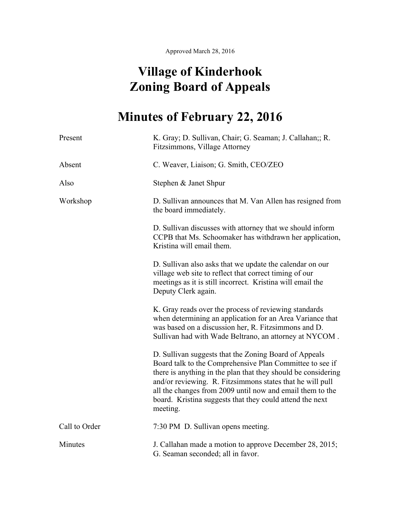Approved March 28, 2016

## **Village of Kinderhook Zoning Board of Appeals**

## **Minutes of February 22, 2016**

| Present       | K. Gray; D. Sullivan, Chair; G. Seaman; J. Callahan;; R.<br>Fitzsimmons, Village Attorney                                                                                                                                                                                                                                                                                            |
|---------------|--------------------------------------------------------------------------------------------------------------------------------------------------------------------------------------------------------------------------------------------------------------------------------------------------------------------------------------------------------------------------------------|
| Absent        | C. Weaver, Liaison; G. Smith, CEO/ZEO                                                                                                                                                                                                                                                                                                                                                |
| Also          | Stephen & Janet Shpur                                                                                                                                                                                                                                                                                                                                                                |
| Workshop      | D. Sullivan announces that M. Van Allen has resigned from<br>the board immediately.                                                                                                                                                                                                                                                                                                  |
|               | D. Sullivan discusses with attorney that we should inform<br>CCPB that Ms. Schoomaker has withdrawn her application,<br>Kristina will email them.                                                                                                                                                                                                                                    |
|               | D. Sullivan also asks that we update the calendar on our<br>village web site to reflect that correct timing of our<br>meetings as it is still incorrect. Kristina will email the<br>Deputy Clerk again.                                                                                                                                                                              |
|               | K. Gray reads over the process of reviewing standards<br>when determining an application for an Area Variance that<br>was based on a discussion her, R. Fitzsimmons and D.<br>Sullivan had with Wade Beltrano, an attorney at NYCOM.                                                                                                                                                 |
|               | D. Sullivan suggests that the Zoning Board of Appeals<br>Board talk to the Comprehensive Plan Committee to see if<br>there is anything in the plan that they should be considering<br>and/or reviewing. R. Fitzsimmons states that he will pull<br>all the changes from 2009 until now and email them to the<br>board. Kristina suggests that they could attend the next<br>meeting. |
| Call to Order | 7:30 PM D. Sullivan opens meeting.                                                                                                                                                                                                                                                                                                                                                   |
| Minutes       | J. Callahan made a motion to approve December 28, 2015;<br>G. Seaman seconded; all in favor.                                                                                                                                                                                                                                                                                         |